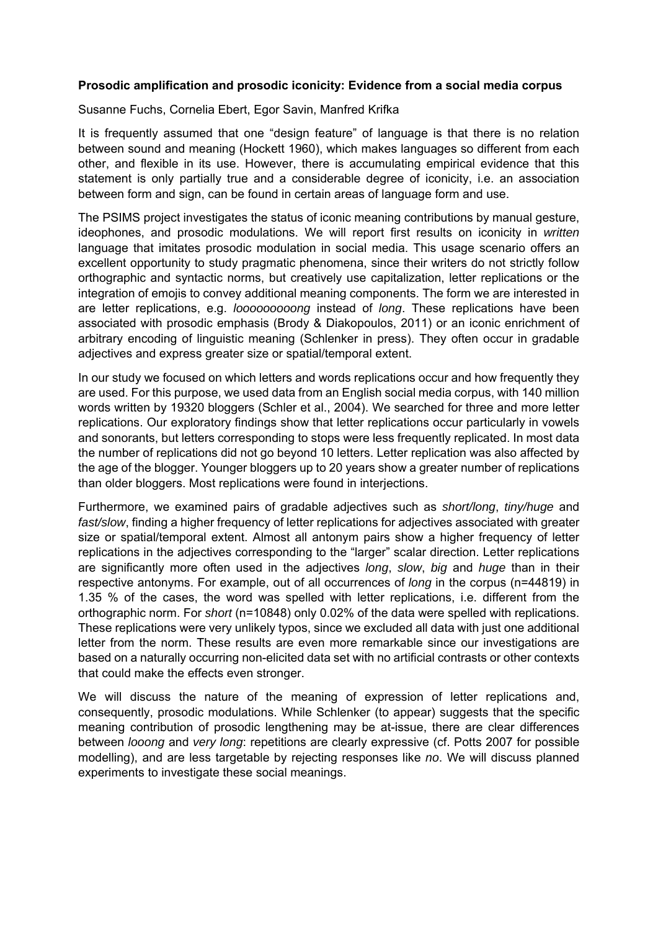## **Prosodic amplification and prosodic iconicity: Evidence from a social media corpus**

## Susanne Fuchs, Cornelia Ebert, Egor Savin, Manfred Krifka

It is frequently assumed that one "design feature" of language is that there is no relation between sound and meaning (Hockett 1960), which makes languages so different from each other, and flexible in its use. However, there is accumulating empirical evidence that this statement is only partially true and a considerable degree of iconicity, i.e. an association between form and sign, can be found in certain areas of language form and use.

The PSIMS project investigates the status of iconic meaning contributions by manual gesture, ideophones, and prosodic modulations. We will report first results on iconicity in *written* language that imitates prosodic modulation in social media. This usage scenario offers an excellent opportunity to study pragmatic phenomena, since their writers do not strictly follow orthographic and syntactic norms, but creatively use capitalization, letter replications or the integration of emojis to convey additional meaning components. The form we are interested in are letter replications, e.g. *looooooooong* instead of *long*. These replications have been associated with prosodic emphasis (Brody & Diakopoulos, 2011) or an iconic enrichment of arbitrary encoding of linguistic meaning (Schlenker in press). They often occur in gradable adjectives and express greater size or spatial/temporal extent.

In our study we focused on which letters and words replications occur and how frequently they are used. For this purpose, we used data from an English social media corpus, with 140 million words written by 19320 bloggers (Schler et al., 2004). We searched for three and more letter replications. Our exploratory findings show that letter replications occur particularly in vowels and sonorants, but letters corresponding to stops were less frequently replicated. In most data the number of replications did not go beyond 10 letters. Letter replication was also affected by the age of the blogger. Younger bloggers up to 20 years show a greater number of replications than older bloggers. Most replications were found in interjections.

Furthermore, we examined pairs of gradable adjectives such as *short/long*, *tiny/huge* and *fast/slow*, finding a higher frequency of letter replications for adjectives associated with greater size or spatial/temporal extent. Almost all antonym pairs show a higher frequency of letter replications in the adjectives corresponding to the "larger" scalar direction. Letter replications are significantly more often used in the adjectives *long*, *slow*, *big* and *huge* than in their respective antonyms. For example, out of all occurrences of *long* in the corpus (n=44819) in 1.35 % of the cases, the word was spelled with letter replications, i.e. different from the orthographic norm. For *short* (n=10848) only 0.02% of the data were spelled with replications. These replications were very unlikely typos, since we excluded all data with just one additional letter from the norm. These results are even more remarkable since our investigations are based on a naturally occurring non-elicited data set with no artificial contrasts or other contexts that could make the effects even stronger.

We will discuss the nature of the meaning of expression of letter replications and, consequently, prosodic modulations. While Schlenker (to appear) suggests that the specific meaning contribution of prosodic lengthening may be at-issue, there are clear differences between *looong* and *very long*: repetitions are clearly expressive (cf. Potts 2007 for possible modelling), and are less targetable by rejecting responses like *no*. We will discuss planned experiments to investigate these social meanings.